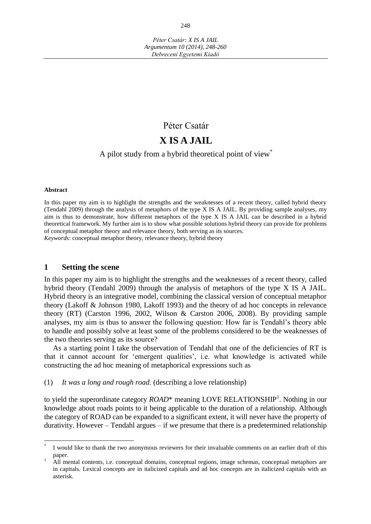# Péter Csatár **X IS A JAIL**

# A pilot study from a hybrid theoretical point of view\*

#### **Abstract**

 $\overline{a}$ 

In this paper my aim is to highlight the strengths and the weaknesses of a recent theory, called hybrid theory (Tendahl 2009) through the analysis of metaphors of the type X IS A JAIL. By providing sample analyses, my aim is thus to demonstrate, how different metaphors of the type X IS A JAIL can be described in a hybrid theoretical framework. My further aim is to show what possible solutions hybrid theory can provide for problems of conceptual metaphor theory and relevance theory, both serving as its sources.

*Keywords*: conceptual metaphor theory, relevance theory, hybrid theory

## **1 Setting the scene**

In this paper my aim is to highlight the strengths and the weaknesses of a recent theory, called hybrid theory (Tendahl 2009) through the analysis of metaphors of the type X IS A JAIL. Hybrid theory is an integrative model, combining the classical version of conceptual metaphor theory (Lakoff & Johnson 1980, Lakoff 1993) and the theory of ad hoc concepts in relevance theory (RT) (Carston 1996, 2002, Wilson & Carston 2006, 2008). By providing sample analyses, my aim is thus to answer the following question: How far is Tendahl's theory able to handle and possibly solve at least some of the problems considered to be the weaknesses of the two theories serving as its source?

As a starting point I take the observation of Tendahl that one of the deficiencies of RT is that it cannot account for 'emergent qualities', i.e. what knowledge is activated while constructing the ad hoc meaning of metaphorical expressions such as

(1) *It was a long and rough road.* (describing a love relationship)

to yield the superordinate category *ROAD*\* meaning LOVE RELATIONSHIP<sup>1</sup>. Nothing in our knowledge about roads points to it being applicable to the duration of a relationship. Although the category of ROAD can be expanded to a significant extent, it will never have the property of durativity. However – Tendahl argues – if we presume that there is a predetermined relationship

<sup>\*</sup> I would like to thank the two anonymous reviewers for their invaluable comments on an earlier draft of this paper.

<sup>1</sup> All mental contents, i.e. conceptual domains, conceptual regions, image schemas, conceptual metaphors are in capitals. Lexical concepts are in italicized capitals and ad hoc concepts are in italicized capitals with an asterisk.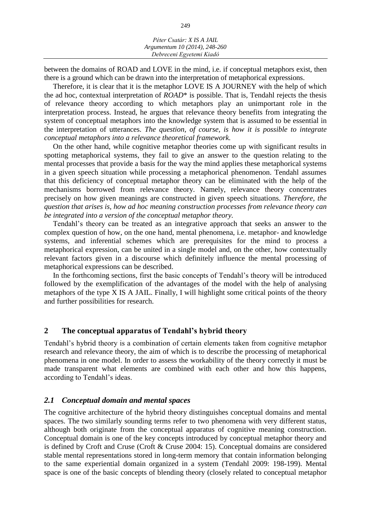between the domains of ROAD and LOVE in the mind, i.e. if conceptual metaphors exist, then there is a ground which can be drawn into the interpretation of metaphorical expressions.

Therefore, it is clear that it is the metaphor LOVE IS A JOURNEY with the help of which the ad hoc, contextual interpretation of *ROAD*\* is possible. That is, Tendahl rejects the thesis of relevance theory according to which metaphors play an unimportant role in the interpretation process. Instead, he argues that relevance theory benefits from integrating the system of conceptual metaphors into the knowledge system that is assumed to be essential in the interpretation of utterances. *The question, of course, is how it is possible to integrate conceptual metaphors into a relevance theoretical framework.*

On the other hand, while cognitive metaphor theories come up with significant results in spotting metaphorical systems, they fail to give an answer to the question relating to the mental processes that provide a basis for the way the mind applies these metaphorical systems in a given speech situation while processing a metaphorical phenomenon. Tendahl assumes that this deficiency of conceptual metaphor theory can be eliminated with the help of the mechanisms borrowed from relevance theory. Namely, relevance theory concentrates precisely on how given meanings are constructed in given speech situations. *Therefore, the question that arises is, how ad hoc meaning construction processes from relevance theory can be integrated into a version of the conceptual metaphor theory.*

Tendahl's theory can be treated as an integrative approach that seeks an answer to the complex question of how, on the one hand, mental phenomena, i.e. metaphor- and knowledge systems, and inferential schemes which are prerequisites for the mind to process a metaphorical expression, can be united in a single model and, on the other, how contextually relevant factors given in a discourse which definitely influence the mental processing of metaphorical expressions can be described.

In the forthcoming sections, first the basic concepts of Tendahl's theory will be introduced followed by the exemplification of the advantages of the model with the help of analysing metaphors of the type X IS A JAIL. Finally, I will highlight some critical points of the theory and further possibilities for research.

## **2 The conceptual apparatus of Tendahl's hybrid theory**

Tendahl's hybrid theory is a combination of certain elements taken from cognitive metaphor research and relevance theory, the aim of which is to describe the processing of metaphorical phenomena in one model. In order to assess the workability of the theory correctly it must be made transparent what elements are combined with each other and how this happens, according to Tendahl's ideas.

## *2.1 Conceptual domain and mental spaces*

The cognitive architecture of the hybrid theory distinguishes conceptual domains and mental spaces. The two similarly sounding terms refer to two phenomena with very different status, although both originate from the conceptual apparatus of cognitive meaning construction. Conceptual domain is one of the key concepts introduced by conceptual metaphor theory and is defined by Croft and Cruse (Croft & Cruse 2004: 15). Conceptual domains are considered stable mental representations stored in long-term memory that contain information belonging to the same experiential domain organized in a system (Tendahl 2009: 198-199). Mental space is one of the basic concepts of blending theory (closely related to conceptual metaphor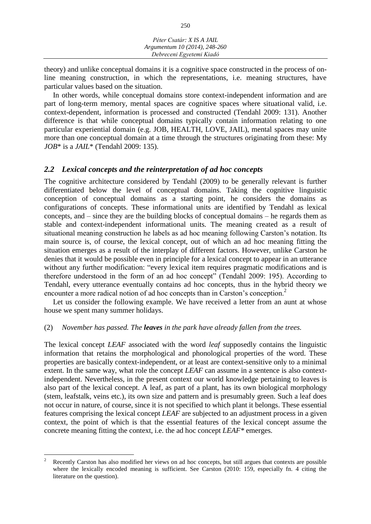*Péter Csatár: X IS A JAIL Argumentum 10 (2014), 248-260 Debreceni Egyetemi Kiadó*

theory) and unlike conceptual domains it is a cognitive space constructed in the process of online meaning construction, in which the representations, i.e. meaning structures, have particular values based on the situation.

In other words, while conceptual domains store context-independent information and are part of long-term memory, mental spaces are cognitive spaces where situational valid, i.e. context-dependent, information is processed and constructed (Tendahl 2009: 131). Another difference is that while conceptual domains typically contain information relating to one particular experiential domain (e.g. JOB, HEALTH, LOVE, JAIL), mental spaces may unite more than one conceptual domain at a time through the structures originating from these: My *JOB*\* is a *JAIL*\* (Tendahl 2009: 135).

#### *2.2 Lexical concepts and the reinterpretation of ad hoc concepts*

The cognitive architecture considered by Tendahl (2009) to be generally relevant is further differentiated below the level of conceptual domains. Taking the cognitive linguistic conception of conceptual domains as a starting point, he considers the domains as configurations of concepts. These informational units are identified by Tendahl as lexical concepts, and – since they are the building blocks of conceptual domains – he regards them as stable and context-independent informational units. The meaning created as a result of situational meaning construction he labels as ad hoc meaning following Carston's notation. Its main source is, of course, the lexical concept, out of which an ad hoc meaning fitting the situation emerges as a result of the interplay of different factors. However, unlike Carston he denies that it would be possible even in principle for a lexical concept to appear in an utterance without any further modification: "every lexical item requires pragmatic modifications and is therefore understood in the form of an ad hoc concept" (Tendahl 2009: 195). According to Tendahl, every utterance eventually contains ad hoc concepts, thus in the hybrid theory we encounter a more radical notion of ad hoc concepts than in Carston's conception.<sup>2</sup>

Let us consider the following example. We have received a letter from an aunt at whose house we spent many summer holidays.

#### (2) *November has passed. The leaves in the park have already fallen from the trees.*

The lexical concept *LEAF* associated with the word *leaf* supposedly contains the linguistic information that retains the morphological and phonological properties of the word. These properties are basically context-independent, or at least are context-sensitive only to a minimal extent. In the same way, what role the concept *LEAF* can assume in a sentence is also contextindependent. Nevertheless, in the present context our world knowledge pertaining to leaves is also part of the lexical concept. A leaf, as part of a plant, has its own biological morphology (stem, leafstalk, veins etc.), its own size and pattern and is presumably green. Such a leaf does not occur in nature, of course, since it is not specified to which plant it belongs. These essential features comprising the lexical concept *LEAF* are subjected to an adjustment process in a given context, the point of which is that the essential features of the lexical concept assume the concrete meaning fitting the context, i.e. the ad hoc concept *LEAF\** emerges.

 $\overline{a}$ 

<sup>2</sup> Recently Carston has also modified her views on ad hoc concepts, but still argues that contexts are possible where the lexically encoded meaning is sufficient. See Carston (2010: 159, especially fn. 4 citing the literature on the question).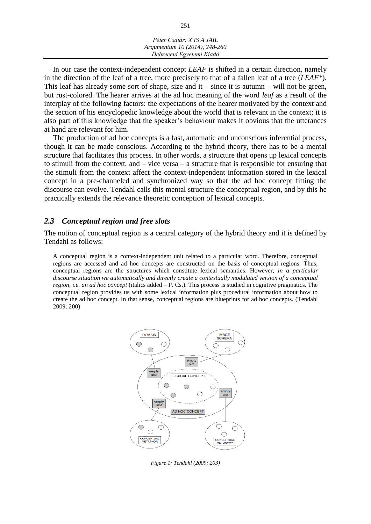| Péter Csatár: X IS A JAIL     |  |
|-------------------------------|--|
| Argumentum 10 (2014), 248-260 |  |
| Debreceni Egyetemi Kiadó      |  |

In our case the context-independent concept *LEAF* is shifted in a certain direction, namely in the direction of the leaf of a tree, more precisely to that of a fallen leaf of a tree (*LEAF\**). This leaf has already some sort of shape, size and it – since it is autumn – will not be green, but rust-colored. The hearer arrives at the ad hoc meaning of the word *leaf* as a result of the interplay of the following factors: the expectations of the hearer motivated by the context and the section of his encyclopedic knowledge about the world that is relevant in the context; it is also part of this knowledge that the speaker's behaviour makes it obvious that the utterances at hand are relevant for him.

The production of ad hoc concepts is a fast, automatic and unconscious inferential process, though it can be made conscious. According to the hybrid theory, there has to be a mental structure that facilitates this process. In other words, a structure that opens up lexical concepts to stimuli from the context, and – vice versa – a structure that is responsible for ensuring that the stimuli from the context affect the context-independent information stored in the lexical concept in a pre-channeled and synchronized way so that the ad hoc concept fitting the discourse can evolve. Tendahl calls this mental structure the conceptual region, and by this he practically extends the relevance theoretic conception of lexical concepts.

## *2.3 Conceptual region and free slots*

The notion of conceptual region is a central category of the hybrid theory and it is defined by Tendahl as follows:

A conceptual region is a context-independent unit related to a particular word. Therefore, conceptual regions are accessed and ad hoc concepts are constructed on the basis of conceptual regions. Thus, conceptual regions are the structures which constitute lexical semantics. However, *in a particular discourse situation we automatically and directly create a contextually modulated version of a conceptual region, i.e. an ad hoc concept* (italics added – P. Cs.). This process is studied in cognitive pragmatics. The conceptual region provides us with some lexical information plus procedural information about how to create the ad hoc concept. In that sense, conceptual regions are blueprints for ad hoc concepts. (Tendahl 2009: 200)



*Figure 1: Tendahl (2009: 203)*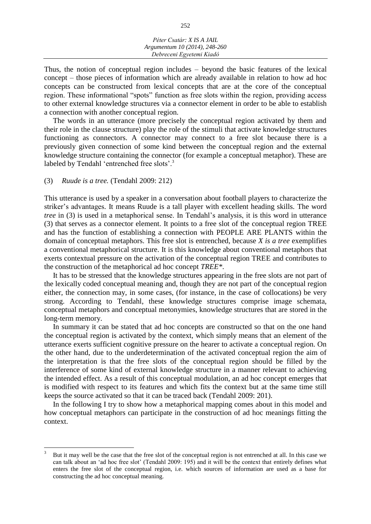*Péter Csatár: X IS A JAIL Argumentum 10 (2014), 248-260 Debreceni Egyetemi Kiadó*

Thus, the notion of conceptual region includes – beyond the basic features of the lexical concept – those pieces of information which are already available in relation to how ad hoc concepts can be constructed from lexical concepts that are at the core of the conceptual region. These informational "spots" function as free slots within the region, providing access to other external knowledge structures via a connector element in order to be able to establish a connection with another conceptual region.

The words in an utterance (more precisely the conceptual region activated by them and their role in the clause structure) play the role of the stimuli that activate knowledge structures functioning as connectors. A connector may connect to a free slot because there is a previously given connection of some kind between the conceptual region and the external knowledge structure containing the connector (for example a conceptual metaphor). These are labeled by Tendahl 'entrenched free slots'.<sup>3</sup>

(3) *Ruude is a tree.* (Tendahl 2009: 212)

 $\overline{a}$ 

This utterance is used by a speaker in a conversation about football players to characterize the striker's advantages. It means Ruude is a tall player with excellent heading skills. The word *tree* in (3) is used in a metaphorical sense. In Tendahl's analysis, it is this word in utterance (3) that serves as a connector element. It points to a free slot of the conceptual region TREE and has the function of establishing a connection with PEOPLE ARE PLANTS within the domain of conceptual metaphors. This free slot is entrenched, because *X is a tree* exemplifies a conventional metaphorical structure. It is this knowledge about conventional metaphors that exerts contextual pressure on the activation of the conceptual region TREE and contributes to the construction of the metaphorical ad hoc concept *TREE\**.

It has to be stressed that the knowledge structures appearing in the free slots are not part of the lexically coded conceptual meaning and, though they are not part of the conceptual region either, the connection may, in some cases, (for instance, in the case of collocations) be very strong. According to Tendahl, these knowledge structures comprise image schemata, conceptual metaphors and conceptual metonymies, knowledge structures that are stored in the long-term memory.

In summary it can be stated that ad hoc concepts are constructed so that on the one hand the conceptual region is activated by the context, which simply means that an element of the utterance exerts sufficient cognitive pressure on the hearer to activate a conceptual region. On the other hand, due to the underdetermination of the activated conceptual region the aim of the interpretation is that the free slots of the conceptual region should be filled by the interference of some kind of external knowledge structure in a manner relevant to achieving the intended effect. As a result of this conceptual modulation, an ad hoc concept emerges that is modified with respect to its features and which fits the context but at the same time still keeps the source activated so that it can be traced back (Tendahl 2009: 201).

In the following I try to show how a metaphorical mapping comes about in this model and how conceptual metaphors can participate in the construction of ad hoc meanings fitting the context.

<sup>3</sup> But it may well be the case that the free slot of the conceptual region is not entrenched at all. In this case we can talk about an 'ad hoc free slot' (Tendahl 2009: 195) and it will be the context that entirely defines what enters the free slot of the conceptual region, i.e. which sources of information are used as a base for constructing the ad hoc conceptual meaning.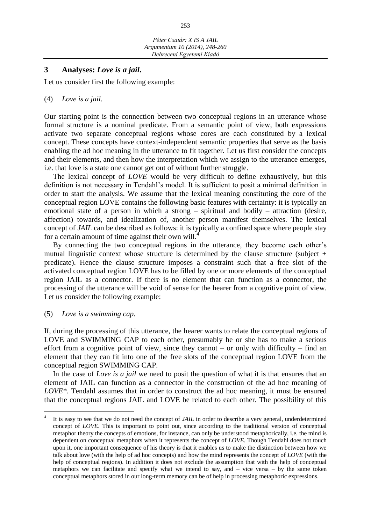## **3 Analyses:** *Love is a jail***.**

Let us consider first the following example:

#### (4) *Love is a jail.*

Our starting point is the connection between two conceptual regions in an utterance whose formal structure is a nominal predicate. From a semantic point of view, both expressions activate two separate conceptual regions whose cores are each constituted by a lexical concept. These concepts have context-independent semantic properties that serve as the basis enabling the ad hoc meaning in the utterance to fit together. Let us first consider the concepts and their elements, and then how the interpretation which we assign to the utterance emerges, i.e. that love is a state one cannot get out of without further struggle.

The lexical concept of *LOVE* would be very difficult to define exhaustively, but this definition is not necessary in Tendahl's model. It is sufficient to posit a minimal definition in order to start the analysis. We assume that the lexical meaning constituting the core of the conceptual region LOVE contains the following basic features with certainty: it is typically an emotional state of a person in which a strong – spiritual and bodily – attraction (desire, affection) towards, and idealization of, another person manifest themselves. The lexical concept of *JAIL* can be described as follows: it is typically a confined space where people stay for a certain amount of time against their own will.<sup>4</sup>

By connecting the two conceptual regions in the utterance, they become each other's mutual linguistic context whose structure is determined by the clause structure (subject + predicate). Hence the clause structure imposes a constraint such that a free slot of the activated conceptual region LOVE has to be filled by one or more elements of the conceptual region JAIL as a connector. If there is no element that can function as a connector, the processing of the utterance will be void of sense for the hearer from a cognitive point of view. Let us consider the following example:

#### (5) *Love is a swimming cap.*

 $\overline{a}$ 

If, during the processing of this utterance, the hearer wants to relate the conceptual regions of LOVE and SWIMMING CAP to each other, presumably he or she has to make a serious effort from a cognitive point of view, since they cannot – or only with difficulty – find an element that they can fit into one of the free slots of the conceptual region LOVE from the conceptual region SWIMMING CAP.

In the case of *Love is a jail* we need to posit the question of what it is that ensures that an element of JAIL can function as a connector in the construction of the ad hoc meaning of *LOVE\**. Tendahl assumes that in order to construct the ad hoc meaning, it must be ensured that the conceptual regions JAIL and LOVE be related to each other. The possibility of this

<sup>4</sup> It is easy to see that we do not need the concept of *JAIL* in order to describe a very general, underdetermined concept of *LOVE*. This is important to point out, since according to the traditional version of conceptual metaphor theory the concepts of emotions, for instance, can only be understood metaphorically, i.e. the mind is dependent on conceptual metaphors when it represents the concept of *LOVE*. Though Tendahl does not touch upon it, one important consequence of his theory is that it enables us to make the distinction between how we talk about love (with the help of ad hoc concepts) and how the mind represents the concept of *LOVE* (with the help of conceptual regions). In addition it does not exclude the assumption that with the help of conceptual metaphors we can facilitate and specify what we intend to say, and – vice versa – by the same token conceptual metaphors stored in our long-term memory can be of help in processing metaphoric expressions.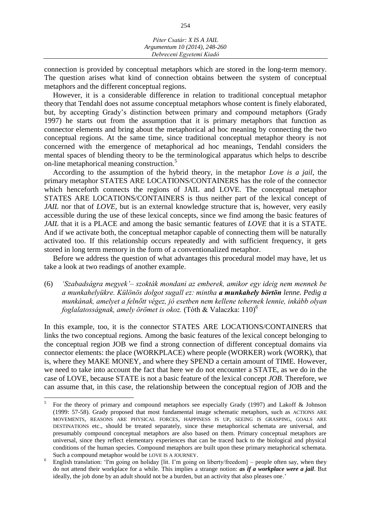connection is provided by conceptual metaphors which are stored in the long-term memory. The question arises what kind of connection obtains between the system of conceptual metaphors and the different conceptual regions.

However, it is a considerable difference in relation to traditional conceptual metaphor theory that Tendahl does not assume conceptual metaphors whose content is finely elaborated, but, by accepting Grady's distinction between primary and compound metaphors (Grady 1997) he starts out from the assumption that it is primary metaphors that function as connector elements and bring about the metaphorical ad hoc meaning by connecting the two conceptual regions. At the same time, since traditional conceptual metaphor theory is not concerned with the emergence of metaphorical ad hoc meanings, Tendahl considers the mental spaces of blending theory to be the terminological apparatus which helps to describe on-line metaphorical meaning construction.<sup>5</sup>

According to the assumption of the hybrid theory, in the metaphor *Love is a jail*, the primary metaphor STATES ARE LOCATIONS/CONTAINERS has the role of the connector which henceforth connects the regions of JAIL and LOVE. The conceptual metaphor STATES ARE LOCATIONS/CONTAINERS is thus neither part of the lexical concept of *JAIL* nor that of *LOVE*, but is an external knowledge structure that is, however, very easily accessible during the use of these lexical concepts, since we find among the basic features of *JAIL* that it is a PLACE and among the basic semantic features of *LOVE* that it is a STATE. And if we activate both, the conceptual metaphor capable of connecting them will be naturally activated too. If this relationship occurs repeatedly and with sufficient frequency, it gets stored in long term memory in the form of a conventionalized metaphor.

Before we address the question of what advantages this procedural model may have, let us take a look at two readings of another example.

(6) *'Szabadságra megyek'– szokták mondani az emberek, amikor egy ideig nem mennek be a munkahelyükre. Különös dolgot sugall ez: mintha a munkahely börtön lenne. Pedig a munkának, amelyet a felnőtt végez, jó esetben nem kellene tehernek lennie, inkább olyan foglalatosságnak, amely örömet is okoz.* (Tóth & Valaczka: 110) *6*

In this example, too, it is the connector STATES ARE LOCATIONS/CONTAINERS that links the two conceptual regions. Among the basic features of the lexical concept belonging to the conceptual region JOB we find a strong connection of different conceptual domains via connector elements: the place (WORKPLACE) where people (WORKER) work (WORK), that is, where they MAKE MONEY, and where they SPEND a certain amount of TIME. However, we need to take into account the fact that here we do not encounter a STATE, as we do in the case of LOVE, because STATE is not a basic feature of the lexical concept *JOB*. Therefore, we can assume that, in this case, the relationship between the conceptual region of JOB and the

 $\overline{a}$ 

<sup>5</sup> For the theory of primary and compound metaphors see especially Grady (1997) and Lakoff & Johnson (1999: 57-58). Grady proposed that most fundamental image schematic metaphors, such as ACTIONS ARE MOVEMENTS, REASONS ARE PHYSICAL FORCES, HAPPINESS IS UP, SEEING IS GRASPING, GOALS ARE DESTINATIONS etc., should be treated separately, since these metaphorical schemata are universal, and presumably compound conceptual metaphors are also based on them. Primary conceptual metaphors are universal, since they reflect elementary experiences that can be traced back to the biological and physical conditions of the human species. Compound metaphors are built upon these primary metaphorical schemata. Such a compound metaphor would be LOVE IS A JOURNEY.

<sup>&</sup>lt;sup>6</sup> English translation: 'I'm going on holiday [lit. I'm going on liberty/freedom] – people often say, when they do not attend their workplace for a while. This implies a strange notion: *as if a workplace were a jail*. But ideally, the job done by an adult should not be a burden, but an activity that also pleases one.'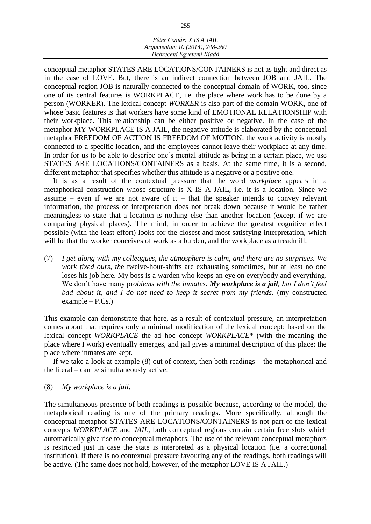conceptual metaphor STATES ARE LOCATIONS/CONTAINERS is not as tight and direct as in the case of LOVE. But, there is an indirect connection between JOB and JAIL. The conceptual region JOB is naturally connected to the conceptual domain of WORK, too, since one of its central features is WORKPLACE, i.e. the place where work has to be done by a person (WORKER). The lexical concept *WORKER* is also part of the domain WORK, one of whose basic features is that workers have some kind of EMOTIONAL RELATIONSHIP with their workplace. This relationship can be either positive or negative. In the case of the metaphor MY WORKPLACE IS A JAIL, the negative attitude is elaborated by the conceptual metaphor FREEDOM OF ACTION IS FREEDOM OF MOTION: the work activity is mostly connected to a specific location, and the employees cannot leave their workplace at any time. In order for us to be able to describe one's mental attitude as being in a certain place, we use STATES ARE LOCATIONS/CONTAINERS as a basis. At the same time, it is a second, different metaphor that specifies whether this attitude is a negative or a positive one.

It is as a result of the contextual pressure that the word *workplace* appears in a metaphorical construction whose structure is X IS A JAIL, i.e. it is a location. Since we assume – even if we are not aware of it – that the speaker intends to convey relevant information, the process of interpretation does not break down because it would be rather meaningless to state that a location is nothing else than another location (except if we are comparing physical places). The mind, in order to achieve the greatest cognitive effect possible (with the least effort) looks for the closest and most satisfying interpretation, which will be that the worker conceives of work as a burden, and the workplace as a treadmill.

(7) *I get along with my colleagues, the atmosphere is calm, and there are no surprises. We work fixed ours, th*e twelve-hour-shifts are exhausting sometimes, but at least no one loses his job here. My boss is a warden who keeps an eye on everybody and everything. We don't have many pr*oblems with the inmates. My workplace is a jail, but I don't feel bad about it, and I do not need to keep it secret from my friends.* (my constructed example – P.Cs.)

This example can demonstrate that here, as a result of contextual pressure, an interpretation comes about that requires only a minimal modification of the lexical concept: based on the lexical concept *WORKPLACE* the ad hoc concept *WORKPLACE\** (with the meaning the place where I work) eventually emerges, and jail gives a minimal description of this place: the place where inmates are kept.

If we take a look at example (8) out of context, then both readings – the metaphorical and the literal – can be simultaneously active:

## (8) *My workplace is a jail*.

The simultaneous presence of both readings is possible because, according to the model, the metaphorical reading is one of the primary readings. More specifically, although the conceptual metaphor STATES ARE LOCATIONS/CONTAINERS is not part of the lexical concepts *WORKPLACE* and *JAIL,* both conceptual regions contain certain free slots which automatically give rise to conceptual metaphors. The use of the relevant conceptual metaphors is restricted just in case the state is interpreted as a physical location (i.e. a correctional institution). If there is no contextual pressure favouring any of the readings, both readings will be active. (The same does not hold, however, of the metaphor LOVE IS A JAIL.)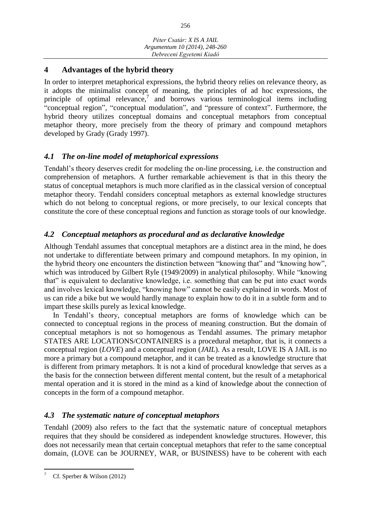# **4 Advantages of the hybrid theory**

In order to interpret metaphorical expressions, the hybrid theory relies on relevance theory, as it adopts the minimalist concept of meaning, the principles of ad hoc expressions, the principle of optimal relevance,<sup>7</sup> and borrows various terminological items including "conceptual region", "conceptual modulation", and "pressure of context". Furthermore, the hybrid theory utilizes conceptual domains and conceptual metaphors from conceptual metaphor theory, more precisely from the theory of primary and compound metaphors developed by Grady (Grady 1997).

# *4.1 The on-line model of metaphorical expressions*

Tendahl's theory deserves credit for modeling the on-line processing, i.e. the construction and comprehension of metaphors. A further remarkable achievement is that in this theory the status of conceptual metaphors is much more clarified as in the classical version of conceptual metaphor theory. Tendahl considers conceptual metaphors as external knowledge structures which do not belong to conceptual regions, or more precisely, to our lexical concepts that constitute the core of these conceptual regions and function as storage tools of our knowledge.

# *4.2 Conceptual metaphors as procedural and as declarative knowledge*

Although Tendahl assumes that conceptual metaphors are a distinct area in the mind, he does not undertake to differentiate between primary and compound metaphors. In my opinion, in the hybrid theory one encounters the distinction between "knowing that" and "knowing how", which was introduced by Gilbert Ryle (1949/2009) in analytical philosophy. While "knowing that" is equivalent to declarative knowledge, i.e. something that can be put into exact words and involves lexical knowledge, "knowing how" cannot be easily explained in words. Most of us can ride a bike but we would hardly manage to explain how to do it in a subtle form and to impart these skills purely as lexical knowledge.

In Tendahl's theory, conceptual metaphors are forms of knowledge which can be connected to conceptual regions in the process of meaning construction. But the domain of conceptual metaphors is not so homogenous as Tendahl assumes. The primary metaphor STATES ARE LOCATIONS/CONTAINERS is a procedural metaphor, that is, it connects a conceptual region (*LOVE*) and a conceptual region (*JAIL*). As a result, LOVE IS A JAIL is no more a primary but a compound metaphor, and it can be treated as a knowledge structure that is different from primary metaphors. It is not a kind of procedural knowledge that serves as a the basis for the connection between different mental content, but the result of a metaphorical mental operation and it is stored in the mind as a kind of knowledge about the connection of concepts in the form of a compound metaphor.

# *4.3 The systematic nature of conceptual metaphors*

Tendahl (2009) also refers to the fact that the systematic nature of conceptual metaphors requires that they should be considered as independent knowledge structures. However, this does not necessarily mean that certain conceptual metaphors that refer to the same conceptual domain, (LOVE can be JOURNEY, WAR, or BUSINESS) have to be coherent with each

 $\overline{a}$ Cf. Sperber & Wilson (2012)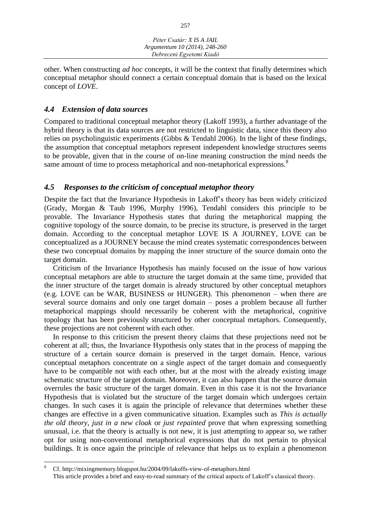other. When constructing *ad hoc* concepts, it will be the context that finally determines which conceptual metaphor should connect a certain conceptual domain that is based on the lexical concept of *LOVE*.

# *4.4 Extension of data sources*

 $\overline{a}$ 

Compared to traditional conceptual metaphor theory (Lakoff 1993), a further advantage of the hybrid theory is that its data sources are not restricted to linguistic data, since this theory also relies on psycholinguistic experiments (Gibbs & Tendahl 2006). In the light of these findings, the assumption that conceptual metaphors represent independent knowledge structures seems to be provable, given that in the course of on-line meaning construction the mind needs the same amount of time to process metaphorical and non-metaphorical expressions.<sup>8</sup>

# *4.5 Responses to the criticism of conceptual metaphor theory*

Despite the fact that the Invariance Hypothesis in Lakoff's theory has been widely criticized (Grady, Morgan & Taub 1996, Murphy 1996), Tendahl considers this principle to be provable. The Invariance Hypothesis states that during the metaphorical mapping the cognitive topology of the source domain, to be precise its structure, is preserved in the target domain. According to the conceptual metaphor LOVE IS A JOURNEY, LOVE can be conceptualized as a JOURNEY because the mind creates systematic correspondences between these two conceptual domains by mapping the inner structure of the source domain onto the target domain.

Criticism of the Invariance Hypothesis has mainly focused on the issue of how various conceptual metaphors are able to structure the target domain at the same time, provided that the inner structure of the target domain is already structured by other conceptual metaphors (e.g. LOVE can be WAR, BUSINESS or HUNGER). This phenomenon – when there are several source domains and only one target domain – poses a problem because all further metaphorical mappings should necessarily be coherent with the metaphorical, cognitive topology that has been previously structured by other conceptual metaphors. Consequently, these projections are not coherent with each other.

In response to this criticism the present theory claims that these projections need not be coherent at all; thus, the Invariance Hypothesis only states that in the process of mapping the structure of a certain source domain is preserved in the target domain. Hence, various conceptual metaphors concentrate on a single aspect of the target domain and consequently have to be compatible not with each other, but at the most with the already existing image schematic structure of the target domain. Moreover, it can also happen that the source domain overrules the basic structure of the target domain. Even in this case it is not the Invariance Hypothesis that is violated but the structure of the target domain which undergoes certain changes. In such cases it is again the principle of relevance that determines whether these changes are effective in a given communicative situation. Examples such as *This is actually the old theory, just in a new cloak* or *just repainted* prove that when expressing something unusual, i.e. that the theory is actually is not new, it is just attempting to appear so, we rather opt for using non-conventional metaphorical expressions that do not pertain to physical buildings. It is once again the principle of relevance that helps us to explain a phenomenon

<sup>8</sup> Cf. http://mixingmemory.blogspot.hu/2004/09/lakoffs-view-of-metaphors.html This article provides a brief and easy-to-read summary of the critical aspects of Lakoff's classical theory.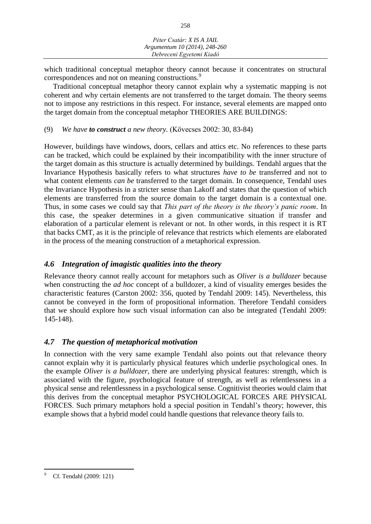which traditional conceptual metaphor theory cannot because it concentrates on structural correspondences and not on meaning constructions.<sup>9</sup>

Traditional conceptual metaphor theory cannot explain why a systematic mapping is not coherent and why certain elements are not transferred to the target domain. The theory seems not to impose any restrictions in this respect. For instance, several elements are mapped onto the target domain from the conceptual metaphor THEORIES ARE BUILDINGS:

## (9) *We have to construct a new theory.* (Kövecses 2002: 30, 83-84)

However, buildings have windows, doors, cellars and attics etc. No references to these parts can be tracked, which could be explained by their incompatibility with the inner structure of the target domain as this structure is actually determined by buildings. Tendahl argues that the Invariance Hypothesis basically refers to what structures *have to be* transferred and not to what content elements *can be* transferred to the target domain. In consequence, Tendahl uses the Invariance Hypothesis in a stricter sense than Lakoff and states that the question of which elements are transferred from the source domain to the target domain is a contextual one. Thus, in some cases we could say that *This part of the theory is the theory's panic room*. In this case, the speaker determines in a given communicative situation if transfer and elaboration of a particular element is relevant or not. In other words, in this respect it is RT that backs CMT, as it is the principle of relevance that restricts which elements are elaborated in the process of the meaning construction of a metaphorical expression.

# *4.6 Integration of imagistic qualities into the theory*

Relevance theory cannot really account for metaphors such as *Oliver is a bulldozer* because when constructing the *ad hoc* concept of a bulldozer, a kind of visuality emerges besides the characteristic features (Carston 2002: 356, quoted by Tendahl 2009: 145). Nevertheless, this cannot be conveyed in the form of propositional information. Therefore Tendahl considers that we should explore how such visual information can also be integrated (Tendahl 2009: 145-148).

# *4.7 The question of metaphorical motivation*

In connection with the very same example Tendahl also points out that relevance theory cannot explain why it is particularly physical features which underlie psychological ones. In the example *Oliver is a bulldozer,* there are underlying physical features: strength, which is associated with the figure, psychological feature of strength, as well as relentlessness in a physical sense and relentlessness in a psychological sense. Cognitivist theories would claim that this derives from the conceptual metaphor PSYCHOLOGICAL FORCES ARE PHYSICAL FORCES. Such primary metaphors hold a special position in Tendahl's theory; however, this example shows that a hybrid model could handle questions that relevance theory fails to.

 $\overline{a}$ Cf. Tendahl (2009: 121)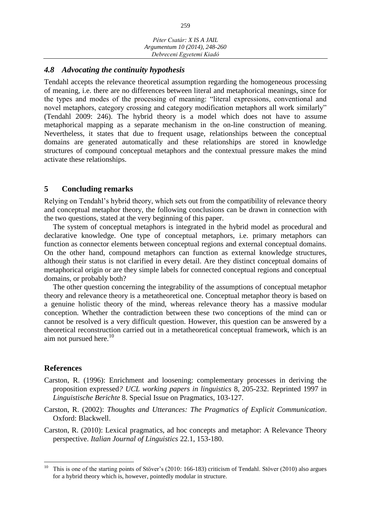# *4.8 Advocating the continuity hypothesis*

Tendahl accepts the relevance theoretical assumption regarding the homogeneous processing of meaning, i.e. there are no differences between literal and metaphorical meanings, since for the types and modes of the processing of meaning: "literal expressions, conventional and novel metaphors, category crossing and category modification metaphors all work similarly" (Tendahl 2009: 246). The hybrid theory is a model which does not have to assume metaphorical mapping as a separate mechanism in the on-line construction of meaning. Nevertheless, it states that due to frequent usage, relationships between the conceptual domains are generated automatically and these relationships are stored in knowledge structures of compound conceptual metaphors and the contextual pressure makes the mind activate these relationships.

# **5 Concluding remarks**

Relying on Tendahl's hybrid theory, which sets out from the compatibility of relevance theory and conceptual metaphor theory, the following conclusions can be drawn in connection with the two questions, stated at the very beginning of this paper.

The system of conceptual metaphors is integrated in the hybrid model as procedural and declarative knowledge. One type of conceptual metaphors, i.e. primary metaphors can function as connector elements between conceptual regions and external conceptual domains. On the other hand, compound metaphors can function as external knowledge structures, although their status is not clarified in every detail. Are they distinct conceptual domains of metaphorical origin or are they simple labels for connected conceptual regions and conceptual domains, or probably both?

The other question concerning the integrability of the assumptions of conceptual metaphor theory and relevance theory is a metatheoretical one. Conceptual metaphor theory is based on a genuine holistic theory of the mind, whereas relevance theory has a massive modular conception. Whether the contradiction between these two conceptions of the mind can or cannot be resolved is a very difficult question. However, this question can be answered by a theoretical reconstruction carried out in a metatheoretical conceptual framework, which is an aim not pursued here. $10$ 

## **References**

- Carston, R. (1996): Enrichment and loosening: complementary processes in deriving the proposition expressed*? UCL working papers in linguistics* 8, 205-232. Reprinted 1997 in *Linguistische Berichte* 8. Special Issue on Pragmatics, 103-127.
- Carston, R. (2002): *Thoughts and Utterances: The Pragmatics of Explicit Communication*. Oxford: Blackwell.
- Carston, R. (2010): Lexical pragmatics, ad hoc concepts and metaphor: A Relevance Theory perspective. *Italian Journal of Linguistics* 22.1, 153-180.

 $10$ <sup>10</sup> This is one of the starting points of Stöver's (2010: 166-183) criticism of Tendahl. Stöver (2010) also argues for a hybrid theory which is, however, pointedly modular in structure.